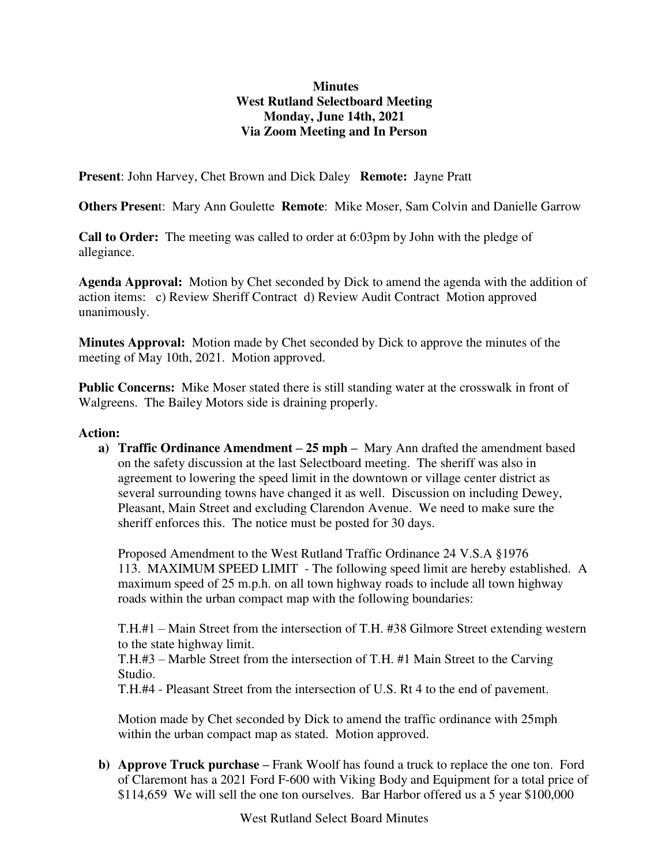## **Minutes West Rutland Selectboard Meeting Monday, June 14th, 2021 Via Zoom Meeting and In Person**

**Present**: John Harvey, Chet Brown and Dick Daley **Remote:** Jayne Pratt

**Others Presen**t: Mary Ann Goulette **Remote**: Mike Moser, Sam Colvin and Danielle Garrow

**Call to Order:** The meeting was called to order at 6:03pm by John with the pledge of allegiance.

**Agenda Approval:** Motion by Chet seconded by Dick to amend the agenda with the addition of action items: c) Review Sheriff Contract d) Review Audit Contract Motion approved unanimously.

**Minutes Approval:** Motion made by Chet seconded by Dick to approve the minutes of the meeting of May 10th, 2021. Motion approved.

**Public Concerns:** Mike Moser stated there is still standing water at the crosswalk in front of Walgreens. The Bailey Motors side is draining properly.

## **Action:**

**a) Traffic Ordinance Amendment – 25 mph –** Mary Ann drafted the amendment based on the safety discussion at the last Selectboard meeting. The sheriff was also in agreement to lowering the speed limit in the downtown or village center district as several surrounding towns have changed it as well. Discussion on including Dewey, Pleasant, Main Street and excluding Clarendon Avenue. We need to make sure the sheriff enforces this. The notice must be posted for 30 days.

Proposed Amendment to the West Rutland Traffic Ordinance 24 V.S.A §1976 113. MAXIMUM SPEED LIMIT - The following speed limit are hereby established. A maximum speed of 25 m.p.h. on all town highway roads to include all town highway roads within the urban compact map with the following boundaries:

T.H.#1 – Main Street from the intersection of T.H. #38 Gilmore Street extending western to the state highway limit.

T.H.#3 – Marble Street from the intersection of T.H. #1 Main Street to the Carving Studio.

T.H.#4 - Pleasant Street from the intersection of U.S. Rt 4 to the end of pavement.

Motion made by Chet seconded by Dick to amend the traffic ordinance with 25mph within the urban compact map as stated. Motion approved.

**b) Approve Truck purchase –** Frank Woolf has found a truck to replace the one ton. Ford of Claremont has a 2021 Ford F-600 with Viking Body and Equipment for a total price of \$114,659 We will sell the one ton ourselves. Bar Harbor offered us a 5 year \$100,000

West Rutland Select Board Minutes